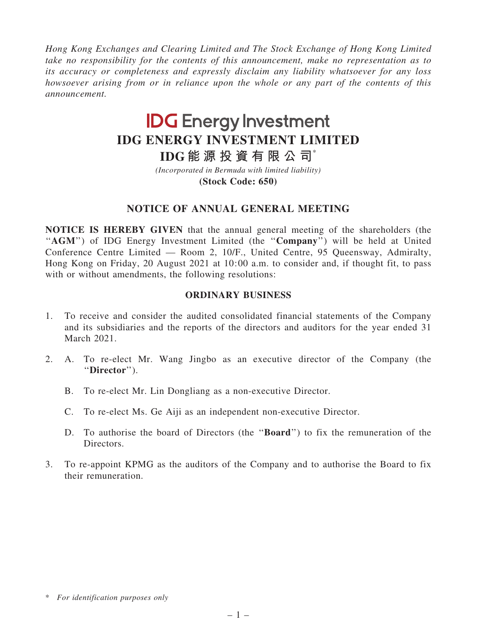*Hong Kong Exchanges and Clearing Limited and The Stock Exchange of Hong Kong Limited take no responsibility for the contents of this announcement, make no representation as to its accuracy or completeness and expressly disclaim any liability whatsoever for any loss howsoever arising from or in reliance upon the whole or any part of the contents of this announcement.*

# **IDG Energy Investment IDG ENERGY INVESTMENT LIMITED**

**IDG 能 源 投 資 有 限 公 司**\*

**(Stock Code: 650)** *(Incorporated in Bermuda with limited liability)*

# NOTICE OF ANNUAL GENERAL MEETING

NOTICE IS HEREBY GIVEN that the annual general meeting of the shareholders (the "AGM") of IDG Energy Investment Limited (the "Company") will be held at United Conference Centre Limited — Room 2, 10/F., United Centre, 95 Queensway, Admiralty, Hong Kong on Friday, 20 August 2021 at 10:00 a.m. to consider and, if thought fit, to pass with or without amendments, the following resolutions:

## ORDINARY BUSINESS

- 1. To receive and consider the audited consolidated financial statements of the Company and its subsidiaries and the reports of the directors and auditors for the year ended 31 March 2021.
- 2. A. To re-elect Mr. Wang Jingbo as an executive director of the Company (the ''Director'').
	- B. To re-elect Mr. Lin Dongliang as a non-executive Director.
	- C. To re-elect Ms. Ge Aiji as an independent non-executive Director.
	- D. To authorise the board of Directors (the ''Board'') to fix the remuneration of the Directors.
- 3. To re-appoint KPMG as the auditors of the Company and to authorise the Board to fix their remuneration.

\* *For identification purposes only*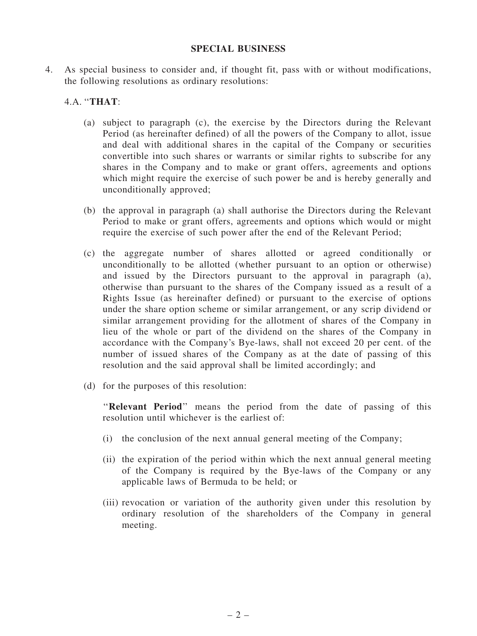### SPECIAL BUSINESS

4. As special business to consider and, if thought fit, pass with or without modifications, the following resolutions as ordinary resolutions:

## 4.A. ''THAT:

- (a) subject to paragraph (c), the exercise by the Directors during the Relevant Period (as hereinafter defined) of all the powers of the Company to allot, issue and deal with additional shares in the capital of the Company or securities convertible into such shares or warrants or similar rights to subscribe for any shares in the Company and to make or grant offers, agreements and options which might require the exercise of such power be and is hereby generally and unconditionally approved;
- (b) the approval in paragraph (a) shall authorise the Directors during the Relevant Period to make or grant offers, agreements and options which would or might require the exercise of such power after the end of the Relevant Period;
- (c) the aggregate number of shares allotted or agreed conditionally or unconditionally to be allotted (whether pursuant to an option or otherwise) and issued by the Directors pursuant to the approval in paragraph (a), otherwise than pursuant to the shares of the Company issued as a result of a Rights Issue (as hereinafter defined) or pursuant to the exercise of options under the share option scheme or similar arrangement, or any scrip dividend or similar arrangement providing for the allotment of shares of the Company in lieu of the whole or part of the dividend on the shares of the Company in accordance with the Company's Bye-laws, shall not exceed 20 per cent. of the number of issued shares of the Company as at the date of passing of this resolution and the said approval shall be limited accordingly; and
- (d) for the purposes of this resolution:

''Relevant Period'' means the period from the date of passing of this resolution until whichever is the earliest of:

- (i) the conclusion of the next annual general meeting of the Company;
- (ii) the expiration of the period within which the next annual general meeting of the Company is required by the Bye-laws of the Company or any applicable laws of Bermuda to be held; or
- (iii) revocation or variation of the authority given under this resolution by ordinary resolution of the shareholders of the Company in general meeting.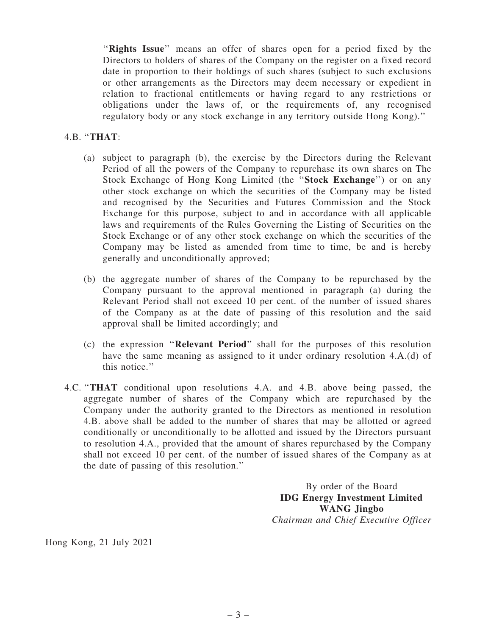"Rights Issue" means an offer of shares open for a period fixed by the Directors to holders of shares of the Company on the register on a fixed record date in proportion to their holdings of such shares (subject to such exclusions or other arrangements as the Directors may deem necessary or expedient in relation to fractional entitlements or having regard to any restrictions or obligations under the laws of, or the requirements of, any recognised regulatory body or any stock exchange in any territory outside Hong Kong).''

### 4.B. ''THAT:

- (a) subject to paragraph (b), the exercise by the Directors during the Relevant Period of all the powers of the Company to repurchase its own shares on The Stock Exchange of Hong Kong Limited (the ''Stock Exchange'') or on any other stock exchange on which the securities of the Company may be listed and recognised by the Securities and Futures Commission and the Stock Exchange for this purpose, subject to and in accordance with all applicable laws and requirements of the Rules Governing the Listing of Securities on the Stock Exchange or of any other stock exchange on which the securities of the Company may be listed as amended from time to time, be and is hereby generally and unconditionally approved;
- (b) the aggregate number of shares of the Company to be repurchased by the Company pursuant to the approval mentioned in paragraph (a) during the Relevant Period shall not exceed 10 per cent. of the number of issued shares of the Company as at the date of passing of this resolution and the said approval shall be limited accordingly; and
- (c) the expression ''Relevant Period'' shall for the purposes of this resolution have the same meaning as assigned to it under ordinary resolution 4.A.(d) of this notice.''
- 4.C. ''THAT conditional upon resolutions 4.A. and 4.B. above being passed, the aggregate number of shares of the Company which are repurchased by the Company under the authority granted to the Directors as mentioned in resolution 4.B. above shall be added to the number of shares that may be allotted or agreed conditionally or unconditionally to be allotted and issued by the Directors pursuant to resolution 4.A., provided that the amount of shares repurchased by the Company shall not exceed 10 per cent. of the number of issued shares of the Company as at the date of passing of this resolution.''

By order of the Board IDG Energy Investment Limited WANG Jingbo *Chairman and Chief Executive Officer*

Hong Kong, 21 July 2021